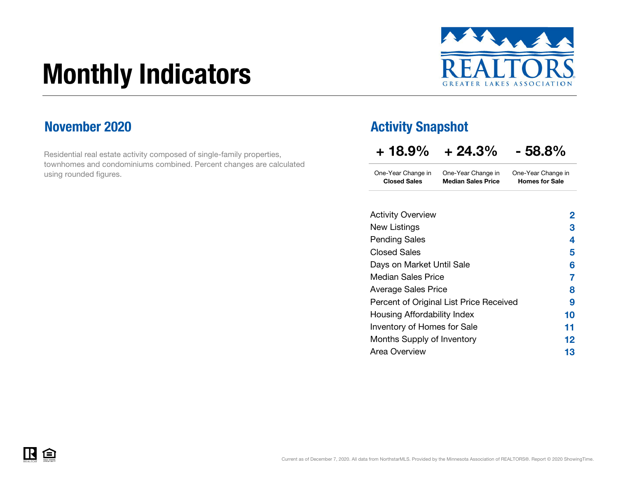# Monthly Indicators



### November 2020

Residential real estate activity composed of single-family properties, townhomes and condominiums combined. Percent changes are calculated using rounded figures.

### Activity Snapshot

| $+18.9\%$ | $+24.3%$ | $-58.8%$ |
|-----------|----------|----------|
|           |          |          |

One-Year Change in One-Year Change in Closed Sales Median Sales PriceOne-Year Change in Homes for Sale

| <b>Activity Overview</b>                | 2  |
|-----------------------------------------|----|
| New Listings                            | 3  |
| <b>Pending Sales</b>                    | 4  |
| <b>Closed Sales</b>                     | 5  |
| Days on Market Until Sale               | 6  |
| <b>Median Sales Price</b>               | 7  |
| <b>Average Sales Price</b>              | 8  |
| Percent of Original List Price Received | 9  |
| Housing Affordability Index             | 10 |
| Inventory of Homes for Sale             | 11 |
| Months Supply of Inventory              | 12 |
| <b>Area Overview</b>                    | 13 |

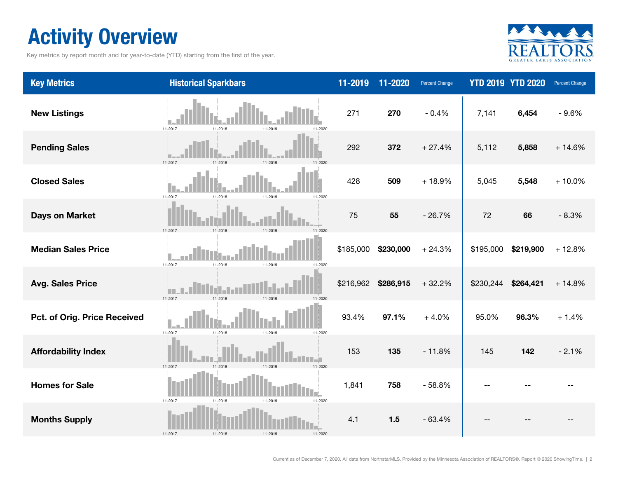# Activity Overview

Key metrics by report month and for year-to-date (YTD) starting from the first of the year.



| <b>Key Metrics</b>           | <b>Historical Sparkbars</b>                 | 11-2019   | 11-2020   | Percent Change |           | <b>YTD 2019 YTD 2020</b> | Percent Change |
|------------------------------|---------------------------------------------|-----------|-----------|----------------|-----------|--------------------------|----------------|
| <b>New Listings</b>          | 11-2017<br>11-2018<br>11-2019<br>11-2020    | 271       | 270       | $-0.4%$        | 7,141     | 6,454                    | $-9.6%$        |
| <b>Pending Sales</b>         | 11-2017<br>$11 - 201$<br>11-2019<br>11-2020 | 292       | 372       | $+27.4%$       | 5,112     | 5,858                    | $+14.6%$       |
| <b>Closed Sales</b>          | 11-2019<br>11-2017<br>11-2018<br>11-2020    | 428       | 509       | $+18.9%$       | 5,045     | 5,548                    | $+10.0%$       |
| <b>Days on Market</b>        | 11-2018<br>11-2017<br>11-2019               | 75        | 55        | $-26.7%$       | 72        | 66                       | $-8.3%$        |
| <b>Median Sales Price</b>    | 11-2017<br>11-2018<br>11-2019<br>11-2020    | \$185,000 | \$230,000 | $+24.3%$       | \$195,000 | \$219,900                | $+12.8%$       |
| <b>Avg. Sales Price</b>      | 11-2017<br>11-2018<br>11-2019<br>11-2020    | \$216,962 | \$286,915 | $+32.2%$       | \$230,244 | \$264,421                | $+14.8%$       |
| Pct. of Orig. Price Received | 11-2017<br>11-2018<br>11-2019<br>11-2020    | 93.4%     | 97.1%     | $+4.0%$        | 95.0%     | 96.3%                    | $+1.4%$        |
| <b>Affordability Index</b>   | 11-2018<br>11-2017<br>11-2019<br>11-2020    | 153       | 135       | $-11.8%$       | 145       | 142                      | $-2.1%$        |
| <b>Homes for Sale</b>        | 11-2017<br>11-2018<br>11-2019<br>11-2020    | 1,841     | 758       | $-58.8%$       |           |                          |                |
| <b>Months Supply</b>         | 11-2017<br>11-2018<br>11-2019<br>11-2020    | 4.1       | 1.5       | $-63.4%$       |           |                          |                |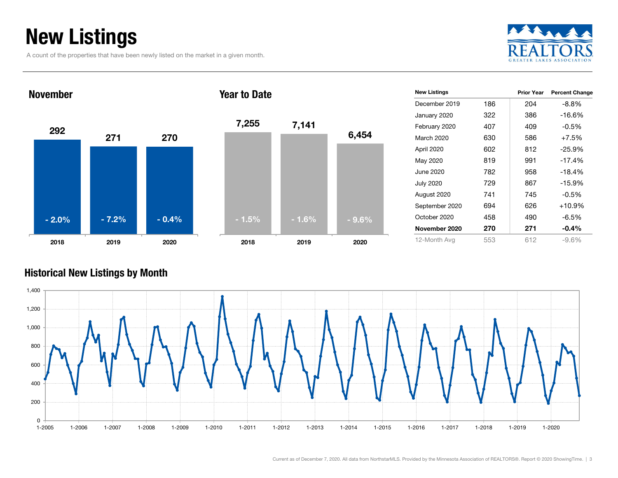# New Listings

A count of the properties that have been newly listed on the market in a given month.





| 7,255   | 7,141   | 6,454   |
|---------|---------|---------|
|         |         |         |
| $-1.5%$ | $-1.6%$ | $-9.6%$ |
| 2018    | 2019    | 2020    |

| <b>New Listings</b> |     | <b>Prior Year</b> | <b>Percent Change</b> |
|---------------------|-----|-------------------|-----------------------|
| December 2019       | 186 | 204               | $-8.8%$               |
| January 2020        | 322 | 386               | -16.6%                |
| February 2020       | 407 | 409               | $-0.5%$               |
| March 2020          | 630 | 586               | $+7.5%$               |
| April 2020          | 602 | 812               | $-25.9%$              |
| May 2020            | 819 | 991               | $-17.4%$              |
| June 2020           | 782 | 958               | $-18.4%$              |
| <b>July 2020</b>    | 729 | 867               | $-15.9%$              |
| August 2020         | 741 | 745               | $-0.5%$               |
| September 2020      | 694 | 626               | $+10.9%$              |
| October 2020        | 458 | 490               | $-6.5%$               |
| November 2020       | 270 | 271               | $-0.4\%$              |
| 12-Month Avg        | 553 | 612               | $-9.6%$               |

### Historical New Listings by Month

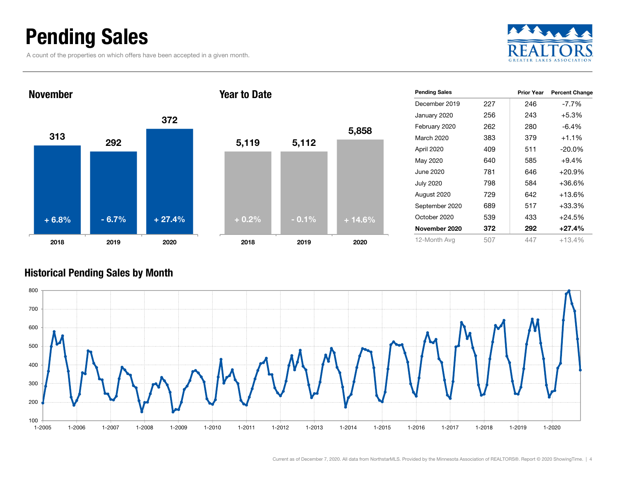### Pending Sales

A count of the properties on which offers have been accepted in a given month.





| <b>Pending Sales</b> |     | <b>Prior Year</b> | <b>Percent Change</b> |
|----------------------|-----|-------------------|-----------------------|
| December 2019        | 227 | 246               | $-7.7\%$              |
| January 2020         | 256 | 243               | $+5.3%$               |
| February 2020        | 262 | 280               | $-6.4\%$              |
| March 2020           | 383 | 379               | $+1.1\%$              |
| April 2020           | 409 | 511               | $-20.0\%$             |
| May 2020             | 640 | 585               | $+9.4%$               |
| June 2020            | 781 | 646               | $+20.9%$              |
| <b>July 2020</b>     | 798 | 584               | $+36.6%$              |
| August 2020          | 729 | 642               | $+13.6%$              |
| September 2020       | 689 | 517               | $+33.3%$              |
| October 2020         | 539 | 433               | $+24.5%$              |
| November 2020        | 372 | 292               | $+27.4%$              |
| 12-Month Avg         | 507 | 447               | +13.4%                |

### Historical Pending Sales by Month

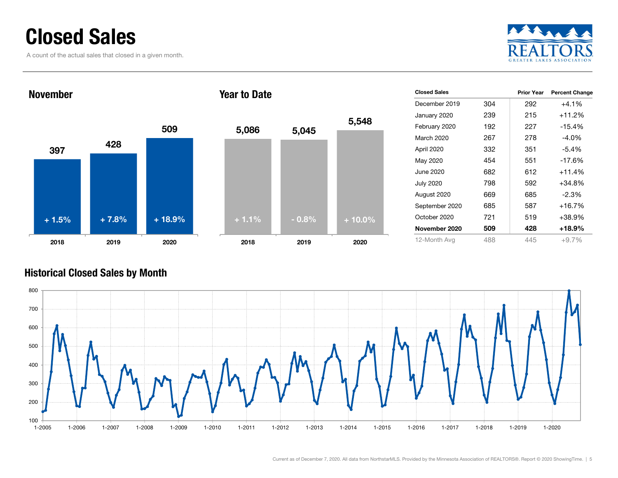### Closed Sales

A count of the actual sales that closed in a given month.





| <b>Closed Sales</b> |     | <b>Prior Year</b> | <b>Percent Change</b> |
|---------------------|-----|-------------------|-----------------------|
|                     |     |                   |                       |
| December 2019       | 304 | 292               | $+4.1%$               |
| January 2020        | 239 | 215               | $+11.2%$              |
| February 2020       | 192 | 227               | $-15.4%$              |
| March 2020          | 267 | 278               | $-4.0\%$              |
| April 2020          | 332 | 351               | $-5.4\%$              |
| May 2020            | 454 | 551               | $-17.6%$              |
| June 2020           | 682 | 612               | $+11.4%$              |
| <b>July 2020</b>    | 798 | 592               | $+34.8%$              |
| August 2020         | 669 | 685               | $-2.3\%$              |
| September 2020      | 685 | 587               | $+16.7%$              |
| October 2020        | 721 | 519               | +38.9%                |
| November 2020       | 509 | 428               | +18.9%                |
| 12-Month Avg        | 488 | 445               | $+9.7%$               |

### Historical Closed Sales by Month

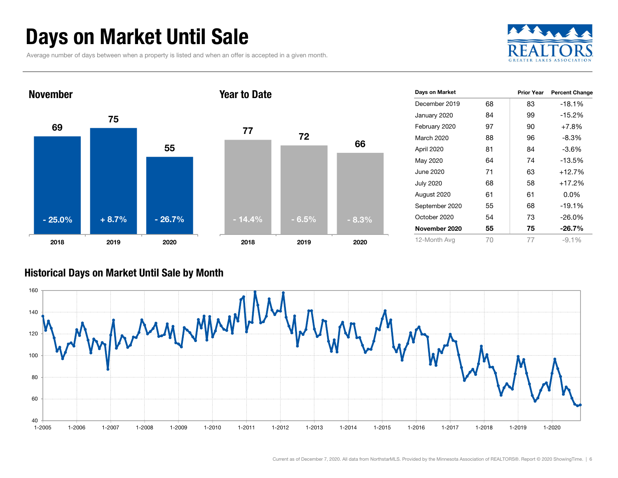# Days on Market Until Sale

Average number of days between when a property is listed and when an offer is accepted in a given month.





| Days on Market   |    | <b>Prior Year</b> | <b>Percent Change</b> |
|------------------|----|-------------------|-----------------------|
|                  |    |                   |                       |
| December 2019    | 68 | 83                | $-18.1%$              |
| January 2020     | 84 | 99                | $-15.2%$              |
| February 2020    | 97 | 90                | $+7.8\%$              |
| March 2020       | 88 | 96                | $-8.3\%$              |
| April 2020       | 81 | 84                | $-3.6\%$              |
| May 2020         | 64 | 74                | $-13.5%$              |
| June 2020        | 71 | 63                | $+12.7%$              |
| <b>July 2020</b> | 68 | 58                | $+17.2%$              |
| August 2020      | 61 | 61                | $0.0\%$               |
| September 2020   | 55 | 68                | $-19.1%$              |
| October 2020     | 54 | 73                | $-26.0\%$             |
| November 2020    | 55 | 75                | $-26.7\%$             |
| 12-Month Avg     | 70 | 77                | $-9.1\%$              |

### Historical Days on Market Until Sale by Month

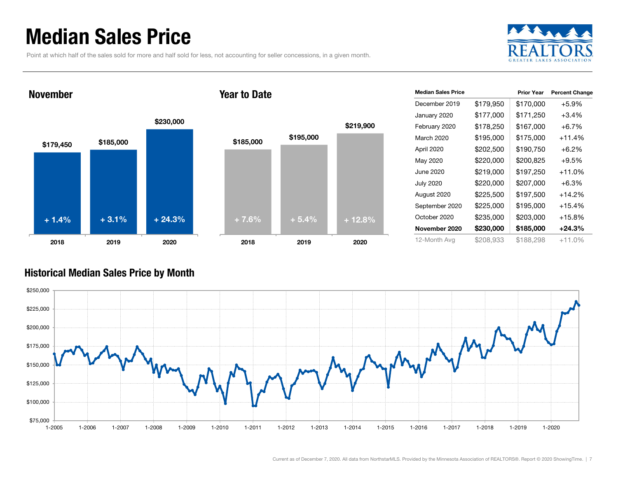### Median Sales Price

Point at which half of the sales sold for more and half sold for less, not accounting for seller concessions, in a given month.



#### November





| <b>Median Sales Price</b> |           | <b>Prior Year</b> | <b>Percent Change</b> |
|---------------------------|-----------|-------------------|-----------------------|
| December 2019             | \$179,950 | \$170,000         | $+5.9%$               |
| January 2020              | \$177,000 | \$171,250         | $+3.4%$               |
| February 2020             | \$178,250 | \$167,000         | $+6.7%$               |
| March 2020                | \$195,000 | \$175,000         | +11.4%                |
| April 2020                | \$202,500 | \$190,750         | $+6.2%$               |
| May 2020                  | \$220,000 | \$200,825         | $+9.5%$               |
| June 2020                 | \$219,000 | \$197,250         | +11.0%                |
| <b>July 2020</b>          | \$220,000 | \$207,000         | $+6.3%$               |
| August 2020               | \$225,500 | \$197,500         | +14.2%                |
| September 2020            | \$225,000 | \$195,000         | +15.4%                |
| October 2020              | \$235,000 | \$203,000         | +15.8%                |
| November 2020             | \$230,000 | \$185,000         | +24.3%                |
| 12-Month Avg              | \$208,933 | \$188,298         | +11.0%                |

### Historical Median Sales Price by Month

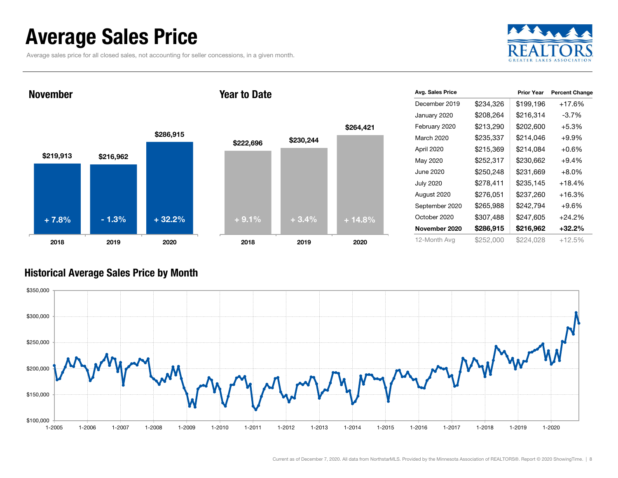### Average Sales Price

Average sales price for all closed sales, not accounting for seller concessions, in a given month.



November

#### Year to Date



| Avg. Sales Price |           | <b>Prior Year</b> | <b>Percent Change</b> |
|------------------|-----------|-------------------|-----------------------|
| December 2019    | \$234,326 | \$199,196         | +17.6%                |
| January 2020     | \$208,264 | \$216,314         | $-3.7%$               |
| February 2020    | \$213,290 | \$202,600         | $+5.3%$               |
| March 2020       | \$235,337 | \$214,046         | $+9.9\%$              |
| April 2020       | \$215,369 | \$214,084         | $+0.6\%$              |
| May 2020         | \$252,317 | \$230,662         | $+9.4\%$              |
| June 2020        | \$250,248 | \$231,669         | $+8.0\%$              |
| <b>July 2020</b> | \$278,411 | \$235,145         | $+18.4%$              |
| August 2020      | \$276,051 | \$237,260         | $+16.3%$              |
| September 2020   | \$265,988 | \$242,794         | $+9.6%$               |
| October 2020     | \$307,488 | \$247,605         | $+24.2%$              |
| November 2020    | \$286,915 | \$216,962         | $+32.2\%$             |
| 12-Month Avg     | \$252,000 | \$224,028         | $+12.5%$              |

### Historical Average Sales Price by Month

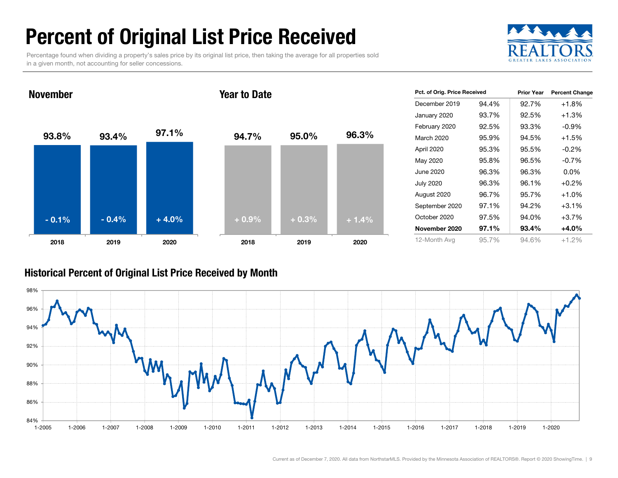# Percent of Original List Price Received

Percentage found when dividing a property's sales price by its original list price, then taking the average for all properties sold in a given month, not accounting for seller concessions.



93.8% 93.4% 97.1% 2018 2019 2020 November94.7% 95.0% 96.3% 2018 2019 2020 Year to Date- 0.1% $\%$  - 0.4% + 4.0% + 0.9% + 0.3% + 1.4%

| Pct. of Orig. Price Received |       | <b>Prior Year</b> | <b>Percent Change</b> |
|------------------------------|-------|-------------------|-----------------------|
| December 2019                | 94.4% | 92.7%             | $+1.8%$               |
| January 2020                 | 93.7% | 92.5%             | +1.3%                 |
| February 2020                | 92.5% | 93.3%             | $-0.9%$               |
| March 2020                   | 95.9% | 94.5%             | $+1.5%$               |
| April 2020                   | 95.3% | 95.5%             | $-0.2%$               |
| May 2020                     | 95.8% | 96.5%             | $-0.7%$               |
| June 2020                    | 96.3% | 96.3%             | $0.0\%$               |
| July 2020                    | 96.3% | 96.1%             | $+0.2%$               |
| August 2020                  | 96.7% | 95.7%             | $+1.0%$               |
| September 2020               | 97.1% | 94.2%             | $+3.1%$               |
| October 2020                 | 97.5% | 94.0%             | $+3.7%$               |
| November 2020                | 97.1% | 93.4%             | $+4.0%$               |
| 12-Month Avg                 | 95.7% | 94.6%             | $+1.2%$               |

### Historical Percent of Original List Price Received by Month

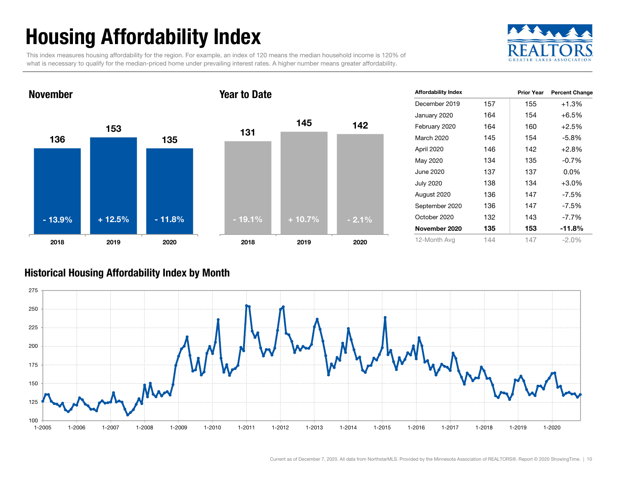# Housing Affordability Index

This index measures housing affordability for the region. For example, an index of 120 means the median household income is 120% of what is necessary to qualify for the median-priced home under prevailing interest rates. A higher number means greater affordability.



#### 1361531352018 2019 2020 November131145 1422018 2019 2020 Year to Date- 13.9% $+12.5\%$  - 11.8% - 19.1% + 10.7% - 2.1%

| <b>Affordability Index</b> |     | <b>Prior Year</b> | <b>Percent Change</b> |
|----------------------------|-----|-------------------|-----------------------|
| December 2019              | 157 | 155               | $+1.3%$               |
| January 2020               | 164 | 154               | $+6.5%$               |
| February 2020              | 164 | 160               | $+2.5%$               |
| March 2020                 | 145 | 154               | $-5.8%$               |
| April 2020                 | 146 | 142               | $+2.8%$               |
| May 2020                   | 134 | 135               | $-0.7%$               |
| June 2020                  | 137 | 137               | $0.0\%$               |
| <b>July 2020</b>           | 138 | 134               | $+3.0%$               |
| August 2020                | 136 | 147               | -7.5%                 |
| September 2020             | 136 | 147               | $-7.5\%$              |
| October 2020               | 132 | 143               | $-7.7\%$              |
| November 2020              | 135 | 153               | -11.8%                |
| 12-Month Avg               | 144 | 147               | $-2.0\%$              |

### Historical Housing Affordability Index by Mont h

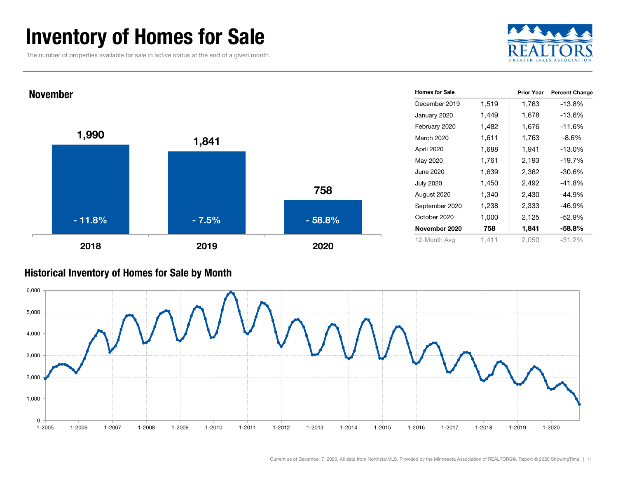### Inventory of Homes for Sale

The number of properties available for sale in active status at the end of a given month.





#### Historical Inventory of Homes for Sale by Month

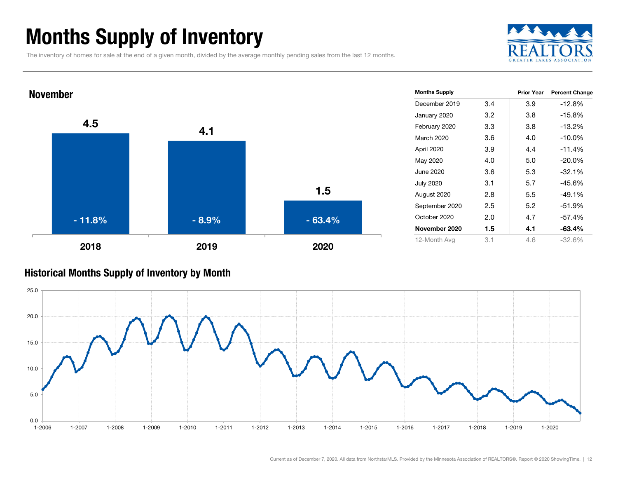# Months Supply of Inventory

The inventory of homes for sale at the end of a given month, divided by the average monthly pending sales from the last 12 months.





#### Historical Months Supply of Inventory by Month